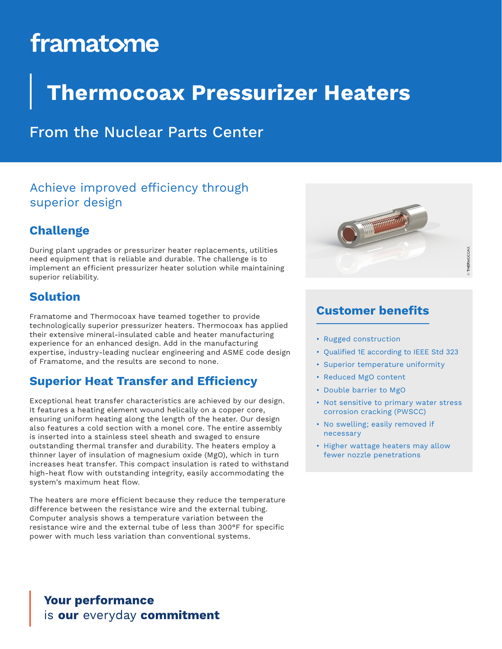# framatome

## **Thermocoax Pressurizer Heaters**

### From the Nuclear Parts Center

#### Achieve improved efficiency through superior design

#### **Challenge**

During plant upgrades or pressurizer heater replacements, utilities need equipment that is reliable and durable. The challenge is to implement an efficient pressurizer heater solution while maintaining superior reliability.

#### **Solution**

Framatome and Thermocoax have teamed together to provide technologically superior pressurizer heaters. Thermocoax has applied their extensive mineral-insulated cable and heater manufacturing experience for an enhanced design. Add in the manufacturing expertise, industry-leading nuclear engineering and ASME code design of Framatome, and the results are second to none.

#### **Superior Heat Transfer and Efficiency**

Exceptional heat transfer characteristics are achieved by our design. It features a heating element wound helically on a copper core, ensuring uniform heating along the length of the heater. Our design also features a cold section with a monel core. The entire assembly is inserted into a stainless steel sheath and swaged to ensure outstanding thermal transfer and durability. The heaters employ a thinner layer of insulation of magnesium oxide (MgO), which in turn increases heat transfer. This compact insulation is rated to withstand high-heat flow with outstanding integrity, easily accommodating the system's maximum heat flow.

The heaters are more efficient because they reduce the temperature difference between the resistance wire and the external tubing. Computer analysis shows a temperature variation between the resistance wire and the external tube of less than 300°F for specific power with much less variation than conventional systems.



#### **Customer benefits**

- Rugged construction
- Qualified 1E according to IEEE Std 323
- Superior temperature uniformity
- Reduced MgO content
- Double barrier to MgO
- Not sensitive to primary water stress corrosion cracking (PWSCC)
- No swelling; easily removed if necessary
- Higher wattage heaters may allow fewer nozzle penetrations

#### **Your performance** is our everyday commitment